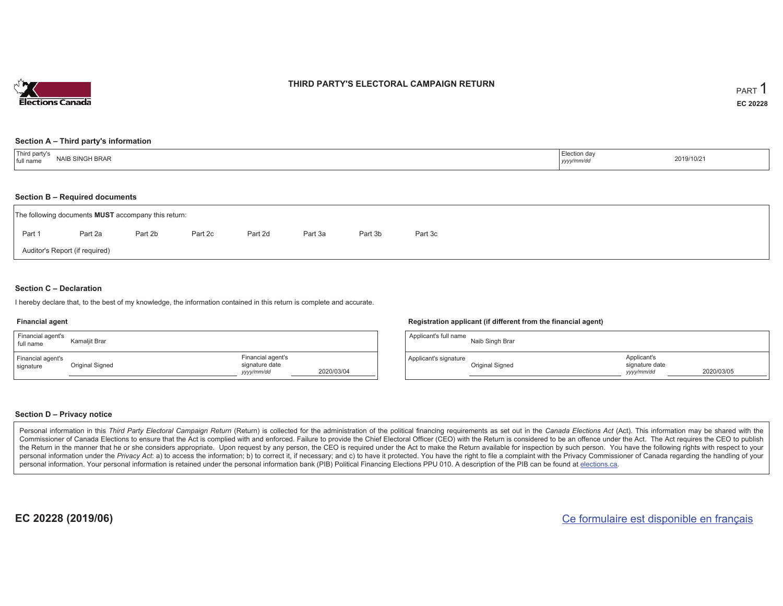

### **THIRD PARTY'S ELECTORAL CAMPAIGN RETURN**

#### **Section A – Third party's information**

| <sup>1</sup> Third party's<br>NAIB SINGH BRAR<br>I full name | Election day<br>yyyy/mm/dr | 2019/10/21 |
|--------------------------------------------------------------|----------------------------|------------|
|--------------------------------------------------------------|----------------------------|------------|

#### **Section B – Required documents**

|        | The following documents <b>MUST</b> accompany this return: |         |         |         |         |         |         |
|--------|------------------------------------------------------------|---------|---------|---------|---------|---------|---------|
| Part 1 | Part 2a                                                    | Part 2b | Part 2c | Part 2d | Part 3a | Part 3b | Part 3c |
|        | Auditor's Report (if required)                             |         |         |         |         |         |         |

### **Section C – Declaration**

I hereby declare that, to the best of my knowledge, the information contained in this return is complete and accurate.

#### **Financial agent**

| Financial agent's<br>full name | Kamaliit Brar   |                                                   |            |
|--------------------------------|-----------------|---------------------------------------------------|------------|
| Financial agent's<br>signature | Original Signed | Financial agent's<br>signature date<br>yyyy/mm/dd | 2020/03/04 |

#### **Registration applicant (if different from the financial agent)**

| Applicant's full name | Naib Singh Brar |                                             |            |
|-----------------------|-----------------|---------------------------------------------|------------|
| Applicant's signature | Original Signed | Applicant's<br>signature date<br>yyyy/mm/dd | 2020/03/05 |

### **Section D – Privacy notice**

Personal information in this Third Party Electoral Campaign Return (Return) is collected for the administration of the political financing requirements as set out in the Canada Elections Act (Act). This information may be Commissioner of Canada Elections to ensure that the Act is complied with and enforced. Failure to provide the Chief Electoral Officer (CEO) with the Return is considered to be an offence under the Act. The Act requires the the Return in the manner that he or she considers appropriate. Upon request by any person, the CEO is required under the Act to make the Return available for inspection by such person. You have the following rights with re personal information under the Privacy Act: a) to access the information; b) to correct it, if necessary; and c) to have it protected. You have the right to file a complaint with the Privacy Commissioner of Canada regardin personal information. Your personal information is retained under the personal information bank (PIB) Political Financing Elections PPU 010. A description of the PIB can be found at elections.ca.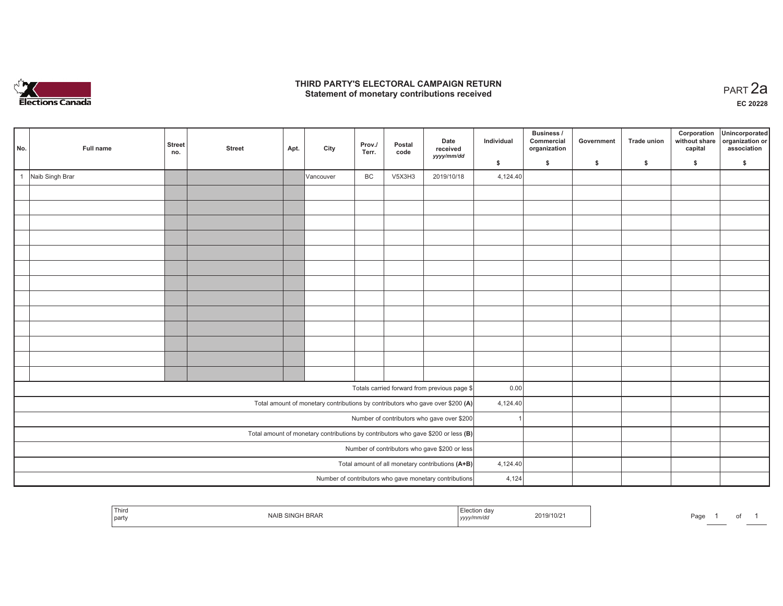

## **THIRD PARTY'S ELECTORAL CAMPAIGN RETURN HIRD PARTY'S ELECTORAL CAMPAIGN RETURN<br>Statement of monetary contributions received PART 2a**

**EC 20228**

| No.            | Full name       | <b>Street</b><br>no. | <b>Street</b> | Apt. | City      | Prov./<br>Terr. | Postal<br>code | Date<br>received<br>yyyy/mm/dd                                                      | Individual | Business /<br>Commercial<br>organization | Government | <b>Trade union</b> | Corporation<br>without share<br>capital | Unincorporated<br>organization or<br>association |
|----------------|-----------------|----------------------|---------------|------|-----------|-----------------|----------------|-------------------------------------------------------------------------------------|------------|------------------------------------------|------------|--------------------|-----------------------------------------|--------------------------------------------------|
|                |                 |                      |               |      |           |                 |                |                                                                                     | \$         | $\mathsf{s}$                             | \$         | \$                 | \$                                      | \$                                               |
| $\overline{1}$ | Naib Singh Brar |                      |               |      | Vancouver | BC              | V5X3H3         | 2019/10/18                                                                          | 4,124.40   |                                          |            |                    |                                         |                                                  |
|                |                 |                      |               |      |           |                 |                |                                                                                     |            |                                          |            |                    |                                         |                                                  |
|                |                 |                      |               |      |           |                 |                |                                                                                     |            |                                          |            |                    |                                         |                                                  |
|                |                 |                      |               |      |           |                 |                |                                                                                     |            |                                          |            |                    |                                         |                                                  |
|                |                 |                      |               |      |           |                 |                |                                                                                     |            |                                          |            |                    |                                         |                                                  |
|                |                 |                      |               |      |           |                 |                |                                                                                     |            |                                          |            |                    |                                         |                                                  |
|                |                 |                      |               |      |           |                 |                |                                                                                     |            |                                          |            |                    |                                         |                                                  |
|                |                 |                      |               |      |           |                 |                |                                                                                     |            |                                          |            |                    |                                         |                                                  |
|                |                 |                      |               |      |           |                 |                |                                                                                     |            |                                          |            |                    |                                         |                                                  |
|                |                 |                      |               |      |           |                 |                |                                                                                     |            |                                          |            |                    |                                         |                                                  |
|                |                 |                      |               |      |           |                 |                |                                                                                     |            |                                          |            |                    |                                         |                                                  |
|                |                 |                      |               |      |           |                 |                |                                                                                     |            |                                          |            |                    |                                         |                                                  |
|                |                 |                      |               |      |           |                 |                |                                                                                     |            |                                          |            |                    |                                         |                                                  |
|                |                 |                      |               |      |           |                 |                |                                                                                     |            |                                          |            |                    |                                         |                                                  |
|                |                 |                      |               |      |           |                 |                | Totals carried forward from previous page \$                                        | 0.00       |                                          |            |                    |                                         |                                                  |
|                |                 |                      |               |      |           |                 |                | Total amount of monetary contributions by contributors who gave over \$200 (A)      | 4,124.40   |                                          |            |                    |                                         |                                                  |
|                |                 |                      |               |      |           |                 |                | Number of contributors who gave over \$200                                          |            |                                          |            |                    |                                         |                                                  |
|                |                 |                      |               |      |           |                 |                | Total amount of monetary contributions by contributors who gave \$200 or less $(B)$ |            |                                          |            |                    |                                         |                                                  |
|                |                 |                      |               |      |           |                 |                | Number of contributors who gave \$200 or less                                       |            |                                          |            |                    |                                         |                                                  |
|                |                 |                      |               |      |           |                 |                | Total amount of all monetary contributions (A+B)                                    | 4,124.40   |                                          |            |                    |                                         |                                                  |
|                |                 |                      |               |      |           |                 |                | Number of contributors who gave monetary contributions                              | 4,124      |                                          |            |                    |                                         |                                                  |
|                |                 |                      |               |      |           |                 |                |                                                                                     |            |                                          |            |                    |                                         |                                                  |

|  | <sup>I</sup> Third<br>  party | <b>LAU</b><br><b>NAIL</b> .<br>SINGH BRAK | aav<br>yyyy/mm/dd | 19/10/2 | Page |  | ັ |  |
|--|-------------------------------|-------------------------------------------|-------------------|---------|------|--|---|--|
|--|-------------------------------|-------------------------------------------|-------------------|---------|------|--|---|--|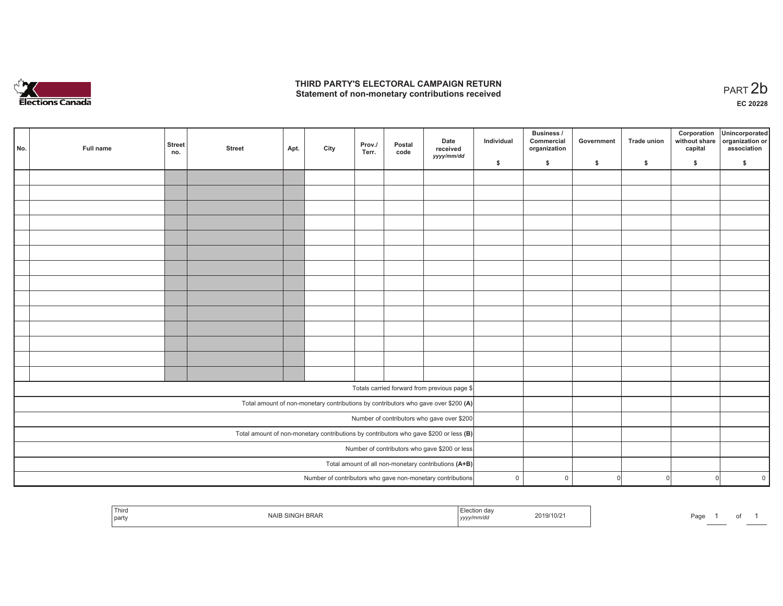

## **THIRD PARTY'S ELECTORAL CAMPAIGN RETURN**  THIRD PARTY'S ELECTORAL CAMPAIGN RETURN<br>Statement of non-monetary contributions received<br> **PART 2b**

| No. | Full name | <b>Street</b><br>no. | <b>Street</b> | Apt. | City | Prov./<br>Terr. | Postal<br>code | Date<br>received                                                                        | Individual   | <b>Business /</b><br>Commercial<br>organization | Government | Trade union | Corporation<br>capital | Unincorporated<br>without share organization or<br>association |
|-----|-----------|----------------------|---------------|------|------|-----------------|----------------|-----------------------------------------------------------------------------------------|--------------|-------------------------------------------------|------------|-------------|------------------------|----------------------------------------------------------------|
|     |           |                      |               |      |      |                 |                | yyyy/mm/dd                                                                              | \$           | \$                                              | \$         | \$          | \$                     | \$                                                             |
|     |           |                      |               |      |      |                 |                |                                                                                         |              |                                                 |            |             |                        |                                                                |
|     |           |                      |               |      |      |                 |                |                                                                                         |              |                                                 |            |             |                        |                                                                |
|     |           |                      |               |      |      |                 |                |                                                                                         |              |                                                 |            |             |                        |                                                                |
|     |           |                      |               |      |      |                 |                |                                                                                         |              |                                                 |            |             |                        |                                                                |
|     |           |                      |               |      |      |                 |                |                                                                                         |              |                                                 |            |             |                        |                                                                |
|     |           |                      |               |      |      |                 |                |                                                                                         |              |                                                 |            |             |                        |                                                                |
|     |           |                      |               |      |      |                 |                |                                                                                         |              |                                                 |            |             |                        |                                                                |
|     |           |                      |               |      |      |                 |                |                                                                                         |              |                                                 |            |             |                        |                                                                |
|     |           |                      |               |      |      |                 |                |                                                                                         |              |                                                 |            |             |                        |                                                                |
|     |           |                      |               |      |      |                 |                |                                                                                         |              |                                                 |            |             |                        |                                                                |
|     |           |                      |               |      |      |                 |                |                                                                                         |              |                                                 |            |             |                        |                                                                |
|     |           |                      |               |      |      |                 |                |                                                                                         |              |                                                 |            |             |                        |                                                                |
|     |           |                      |               |      |      |                 |                |                                                                                         |              |                                                 |            |             |                        |                                                                |
|     |           |                      |               |      |      |                 |                |                                                                                         |              |                                                 |            |             |                        |                                                                |
|     |           |                      |               |      |      |                 |                |                                                                                         |              |                                                 |            |             |                        |                                                                |
|     |           |                      |               |      |      |                 |                | Totals carried forward from previous page \$                                            |              |                                                 |            |             |                        |                                                                |
|     |           |                      |               |      |      |                 |                | Total amount of non-monetary contributions by contributors who gave over \$200 (A)      |              |                                                 |            |             |                        |                                                                |
|     |           |                      |               |      |      |                 |                | Number of contributors who gave over \$200                                              |              |                                                 |            |             |                        |                                                                |
|     |           |                      |               |      |      |                 |                | Total amount of non-monetary contributions by contributors who gave \$200 or less $(B)$ |              |                                                 |            |             |                        |                                                                |
|     |           |                      |               |      |      |                 |                | Number of contributors who gave \$200 or less                                           |              |                                                 |            |             |                        |                                                                |
|     |           |                      |               |      |      |                 |                | Total amount of all non-monetary contributions (A+B)                                    |              |                                                 |            |             |                        |                                                                |
|     |           |                      |               |      |      |                 |                | Number of contributors who gave non-monetary contributions                              | $\mathsf{O}$ | $\mathbf 0$                                     | $\Omega$   | $\Omega$    | $\Omega$               | $\overline{0}$                                                 |

|  | ' Third<br>party | <b>BRAF</b> | ,,,,, | 19/10/2 | Page |  | ັ |  |
|--|------------------|-------------|-------|---------|------|--|---|--|
|--|------------------|-------------|-------|---------|------|--|---|--|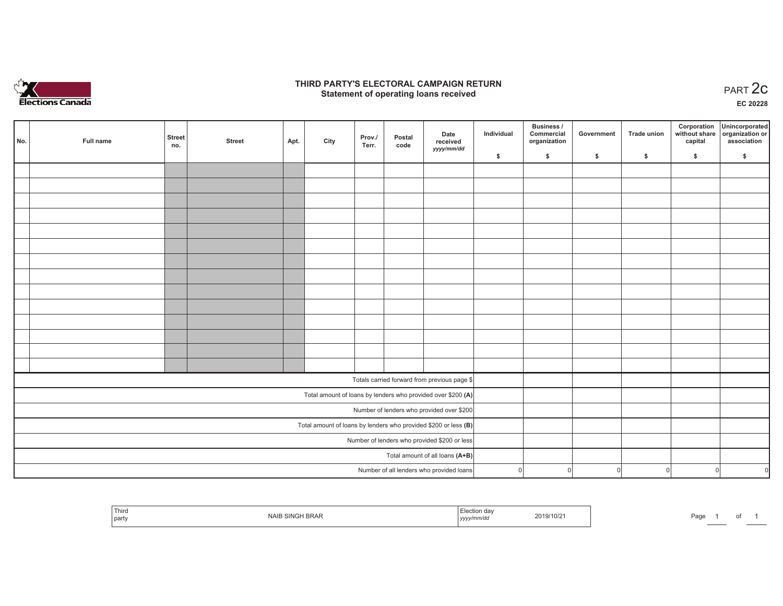

# **THIRD PARTY'S ELECTORAL CAMPAIGN RETURN STATE:** PERSON SELECTORAL CAMPAIGN RETURN<br>
Statement of operating loans received

**EC 20228**

of 1

| No. | Full name | <b>Street</b><br>no. | <b>Street</b> | Apt. | City | Prov./<br>Terr. | Postal<br>code | Date<br>received                                                  | Individual | <b>Business /</b><br>Commercial<br>organization | Government | <b>Trade union</b> | Corporation<br>capital | Unincorporated<br>without share organization or<br>association |
|-----|-----------|----------------------|---------------|------|------|-----------------|----------------|-------------------------------------------------------------------|------------|-------------------------------------------------|------------|--------------------|------------------------|----------------------------------------------------------------|
|     |           |                      |               |      |      |                 |                | yyyy/mm/dd                                                        | \$         | \$                                              | \$         | $\mathsf{s}$       | \$                     | \$                                                             |
|     |           |                      |               |      |      |                 |                |                                                                   |            |                                                 |            |                    |                        |                                                                |
|     |           |                      |               |      |      |                 |                |                                                                   |            |                                                 |            |                    |                        |                                                                |
|     |           |                      |               |      |      |                 |                |                                                                   |            |                                                 |            |                    |                        |                                                                |
|     |           |                      |               |      |      |                 |                |                                                                   |            |                                                 |            |                    |                        |                                                                |
|     |           |                      |               |      |      |                 |                |                                                                   |            |                                                 |            |                    |                        |                                                                |
|     |           |                      |               |      |      |                 |                |                                                                   |            |                                                 |            |                    |                        |                                                                |
|     |           |                      |               |      |      |                 |                |                                                                   |            |                                                 |            |                    |                        |                                                                |
|     |           |                      |               |      |      |                 |                |                                                                   |            |                                                 |            |                    |                        |                                                                |
|     |           |                      |               |      |      |                 |                |                                                                   |            |                                                 |            |                    |                        |                                                                |
|     |           |                      |               |      |      |                 |                |                                                                   |            |                                                 |            |                    |                        |                                                                |
|     |           |                      |               |      |      |                 |                |                                                                   |            |                                                 |            |                    |                        |                                                                |
|     |           |                      |               |      |      |                 |                |                                                                   |            |                                                 |            |                    |                        |                                                                |
|     |           |                      |               |      |      |                 |                |                                                                   |            |                                                 |            |                    |                        |                                                                |
|     |           |                      |               |      |      |                 |                |                                                                   |            |                                                 |            |                    |                        |                                                                |
|     |           |                      |               |      |      |                 |                | Totals carried forward from previous page \$                      |            |                                                 |            |                    |                        |                                                                |
|     |           |                      |               |      |      |                 |                | Total amount of loans by lenders who provided over \$200 (A)      |            |                                                 |            |                    |                        |                                                                |
|     |           |                      |               |      |      |                 |                | Number of lenders who provided over \$200                         |            |                                                 |            |                    |                        |                                                                |
|     |           |                      |               |      |      |                 |                | Total amount of loans by lenders who provided \$200 or less $(B)$ |            |                                                 |            |                    |                        |                                                                |
|     |           |                      |               |      |      |                 |                | Number of lenders who provided \$200 or less                      |            |                                                 |            |                    |                        |                                                                |
|     |           |                      |               |      |      |                 |                | Total amount of all loans (A+B)                                   |            |                                                 |            |                    |                        |                                                                |
|     |           |                      |               |      |      |                 |                | Number of all lenders who provided loans                          | $\Omega$   | $\overline{0}$                                  | $\Omega$   | $\Omega$           | $\mathbf{0}$           | $\sqrt{2}$                                                     |

| Third<br>part | <b>BRAR</b><br>$\sim$ | -laction day<br>uccuon ua<br>mm/au<br>үүүүлтт<br>,,,, | 2019/10/2 | Page |  |
|---------------|-----------------------|-------------------------------------------------------|-----------|------|--|
|---------------|-----------------------|-------------------------------------------------------|-----------|------|--|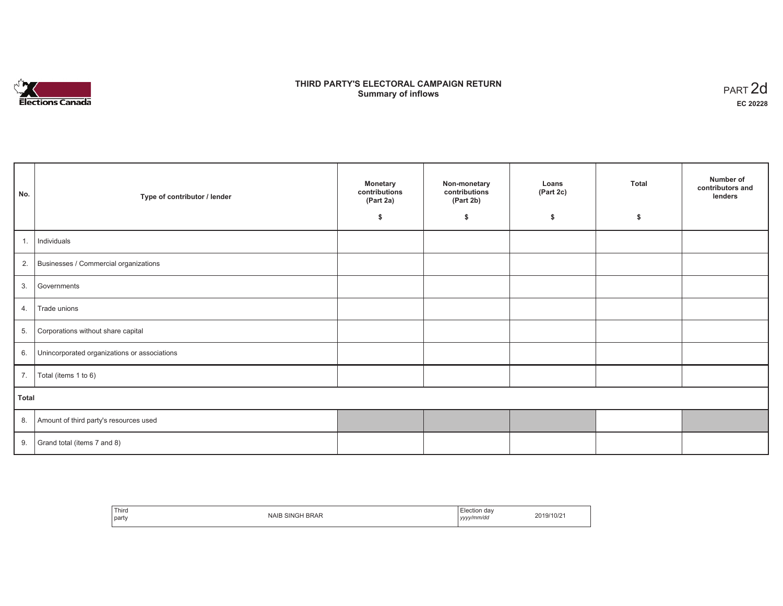

# **THIRD PARTY'S ELECTORAL CAMPAIGN RETURN S** ELECTORAL CAMPAIGN RETURN<br>Summary of inflows PART 2d

| No.   | Type of contributor / lender                    | <b>Monetary</b><br>contributions<br>(Part 2a) | Non-monetary<br>contributions<br>(Part 2b) | Loans<br>(Part 2c) | <b>Total</b> | Number of<br>contributors and<br>lenders |
|-------|-------------------------------------------------|-----------------------------------------------|--------------------------------------------|--------------------|--------------|------------------------------------------|
|       |                                                 | \$                                            | \$                                         | \$                 | \$           |                                          |
| 1.    | Individuals                                     |                                               |                                            |                    |              |                                          |
|       | 2. Businesses / Commercial organizations        |                                               |                                            |                    |              |                                          |
| 3.    | Governments                                     |                                               |                                            |                    |              |                                          |
| 4.    | Trade unions                                    |                                               |                                            |                    |              |                                          |
| 5.    | Corporations without share capital              |                                               |                                            |                    |              |                                          |
|       | 6. Unincorporated organizations or associations |                                               |                                            |                    |              |                                          |
| 7.    | Total (items 1 to 6)                            |                                               |                                            |                    |              |                                          |
| Total |                                                 |                                               |                                            |                    |              |                                          |
|       | 8. Amount of third party's resources used       |                                               |                                            |                    |              |                                          |
|       | 9. Grand total (items $7$ and $8$ )             |                                               |                                            |                    |              |                                          |

| Third<br>l partv | SING<br><b>NAIL</b><br>i BRAF | ⊟lection<br>dav<br>' vyyy/mm/da<br>yyyy | ?019/10/2 |
|------------------|-------------------------------|-----------------------------------------|-----------|
|------------------|-------------------------------|-----------------------------------------|-----------|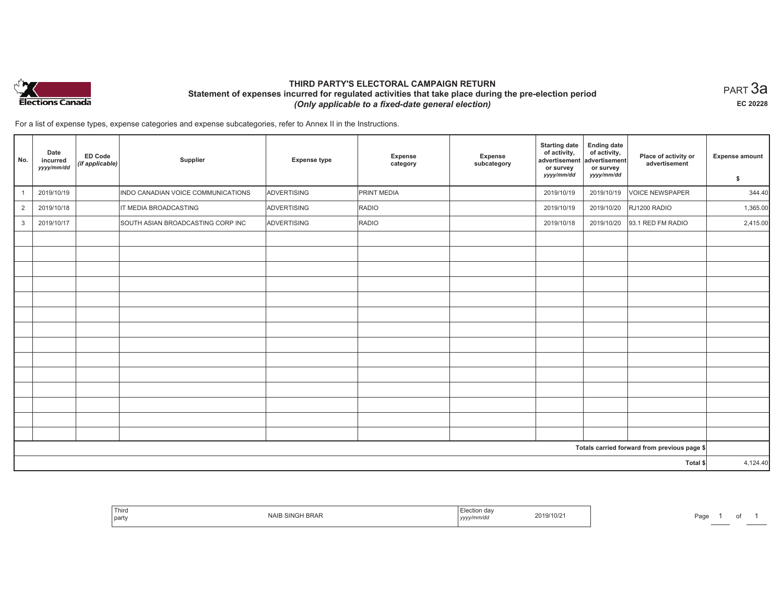

# **THIRD PARTY'S ELECTORAL CAMPAIGN RETURN Statement of expenses incurred for regulated activities that take place during the pre-election period**  *(Only applicable to a fixed-date general election)*

 $_{\sf PART}$ 3a **EC 20228**

For a list of expense types, expense categories and expense subcategories, refer to Annex II in the Instructions.

| No.            | Date<br>incurred<br>yyyy/mm/dd | <b>ED Code</b><br>(if applicable) | Supplier                           | <b>Expense type</b> | <b>Expense</b><br>category | Expense<br>subcategory | <b>Starting date</b><br>of activity,<br>advertisement<br>or survey<br>yyyy/mm/dd | <b>Ending date</b><br>of activity,<br>advertisement<br>or survey<br>yyyy/mm/dd | Place of activity or<br>advertisement        | <b>Expense amount</b><br>\$ |
|----------------|--------------------------------|-----------------------------------|------------------------------------|---------------------|----------------------------|------------------------|----------------------------------------------------------------------------------|--------------------------------------------------------------------------------|----------------------------------------------|-----------------------------|
|                | 2019/10/19                     |                                   | INDO CANADIAN VOICE COMMUNICATIONS | ADVERTISING         | PRINT MEDIA                |                        | 2019/10/19                                                                       | 2019/10/19                                                                     | <b>VOICE NEWSPAPER</b>                       | 344.40                      |
| $\overline{2}$ | 2019/10/18                     |                                   | IT MEDIA BROADCASTING              | ADVERTISING         | RADIO                      |                        | 2019/10/19                                                                       | 2019/10/20                                                                     | RJ1200 RADIO                                 | 1,365.00                    |
| 3              | 2019/10/17                     |                                   | SOUTH ASIAN BROADCASTING CORP INC  | ADVERTISING         | RADIO                      |                        | 2019/10/18                                                                       | 2019/10/20                                                                     | 93.1 RED FM RADIO                            | 2,415.00                    |
|                |                                |                                   |                                    |                     |                            |                        |                                                                                  |                                                                                |                                              |                             |
|                |                                |                                   |                                    |                     |                            |                        |                                                                                  |                                                                                |                                              |                             |
|                |                                |                                   |                                    |                     |                            |                        |                                                                                  |                                                                                |                                              |                             |
|                |                                |                                   |                                    |                     |                            |                        |                                                                                  |                                                                                |                                              |                             |
|                |                                |                                   |                                    |                     |                            |                        |                                                                                  |                                                                                |                                              |                             |
|                |                                |                                   |                                    |                     |                            |                        |                                                                                  |                                                                                |                                              |                             |
|                |                                |                                   |                                    |                     |                            |                        |                                                                                  |                                                                                |                                              |                             |
|                |                                |                                   |                                    |                     |                            |                        |                                                                                  |                                                                                |                                              |                             |
|                |                                |                                   |                                    |                     |                            |                        |                                                                                  |                                                                                |                                              |                             |
|                |                                |                                   |                                    |                     |                            |                        |                                                                                  |                                                                                |                                              |                             |
|                |                                |                                   |                                    |                     |                            |                        |                                                                                  |                                                                                |                                              |                             |
|                |                                |                                   |                                    |                     |                            |                        |                                                                                  |                                                                                |                                              |                             |
|                |                                |                                   |                                    |                     |                            |                        |                                                                                  |                                                                                |                                              |                             |
|                |                                |                                   |                                    |                     |                            |                        |                                                                                  |                                                                                |                                              |                             |
|                |                                |                                   |                                    |                     |                            |                        |                                                                                  |                                                                                | Totals carried forward from previous page \$ |                             |
|                |                                |                                   |                                    |                     |                            |                        |                                                                                  |                                                                                | Total \$                                     | 4,124.40                    |

| <sup>I</sup> Third<br>party | <b>NAIF</b><br><b>IBRAF</b> | າ ດຂ<br>2019/10/2<br>. <i>.</i> . | Page |
|-----------------------------|-----------------------------|-----------------------------------|------|
|-----------------------------|-----------------------------|-----------------------------------|------|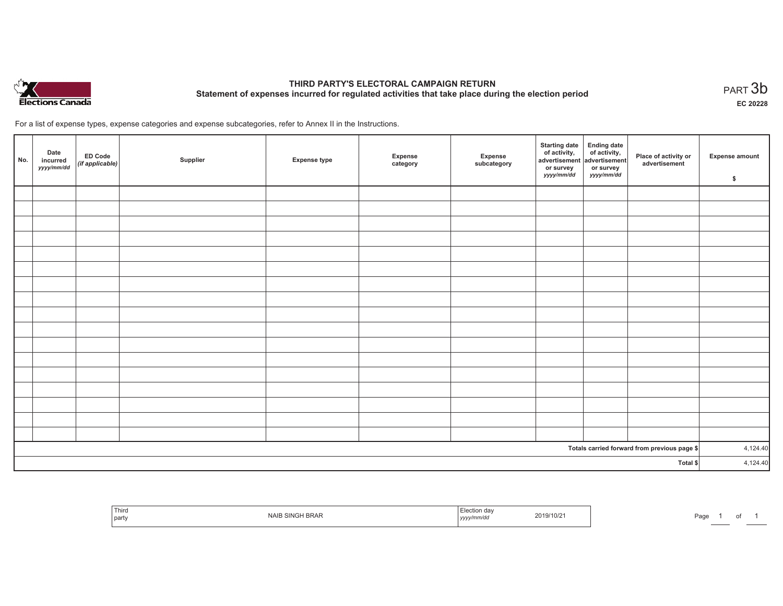

# **THIRD PARTY'S ELECTORAL CAMPAIGN RETURN Statement of expenses incurred for regulated activities that take place during the election period**<br>PART  $3\mathsf{b}$

**EC 20228**

1 of 1

For a list of expense types, expense categories and expense subcategories, refer to Annex II in the Instructions.

| No.                                          | Date<br>incurred<br>yyyy/mm/dd | ED Code<br>(if applicable) | Supplier | <b>Expense type</b> | Expense<br>category | Expense<br>subcategory | Starting date Ending date<br>of activity, of activity,<br>advertisement advertisement<br>or survey<br>yyyy/mm/dd | or survey<br>yyyy/mm/dd | Place of activity or<br>advertisement | Expense amount<br>\$ |
|----------------------------------------------|--------------------------------|----------------------------|----------|---------------------|---------------------|------------------------|------------------------------------------------------------------------------------------------------------------|-------------------------|---------------------------------------|----------------------|
|                                              |                                |                            |          |                     |                     |                        |                                                                                                                  |                         |                                       |                      |
|                                              |                                |                            |          |                     |                     |                        |                                                                                                                  |                         |                                       |                      |
|                                              |                                |                            |          |                     |                     |                        |                                                                                                                  |                         |                                       |                      |
|                                              |                                |                            |          |                     |                     |                        |                                                                                                                  |                         |                                       |                      |
|                                              |                                |                            |          |                     |                     |                        |                                                                                                                  |                         |                                       |                      |
|                                              |                                |                            |          |                     |                     |                        |                                                                                                                  |                         |                                       |                      |
|                                              |                                |                            |          |                     |                     |                        |                                                                                                                  |                         |                                       |                      |
|                                              |                                |                            |          |                     |                     |                        |                                                                                                                  |                         |                                       |                      |
|                                              |                                |                            |          |                     |                     |                        |                                                                                                                  |                         |                                       |                      |
|                                              |                                |                            |          |                     |                     |                        |                                                                                                                  |                         |                                       |                      |
|                                              |                                |                            |          |                     |                     |                        |                                                                                                                  |                         |                                       |                      |
|                                              |                                |                            |          |                     |                     |                        |                                                                                                                  |                         |                                       |                      |
|                                              |                                |                            |          |                     |                     |                        |                                                                                                                  |                         |                                       |                      |
|                                              |                                |                            |          |                     |                     |                        |                                                                                                                  |                         |                                       |                      |
|                                              |                                |                            |          |                     |                     |                        |                                                                                                                  |                         |                                       |                      |
|                                              |                                |                            |          |                     |                     |                        |                                                                                                                  |                         |                                       |                      |
|                                              |                                |                            |          |                     |                     |                        |                                                                                                                  |                         |                                       |                      |
| Totals carried forward from previous page \$ |                                |                            |          |                     |                     | 4,124.40               |                                                                                                                  |                         |                                       |                      |
| Total \$                                     |                                |                            |          |                     |                     | 4,124.40               |                                                                                                                  |                         |                                       |                      |

| Third<br>  party | SRAL<br>NAII | aa<br>люп<br>um/o.<br>,,,, | 2019/10/2 | Page |
|------------------|--------------|----------------------------|-----------|------|
|------------------|--------------|----------------------------|-----------|------|